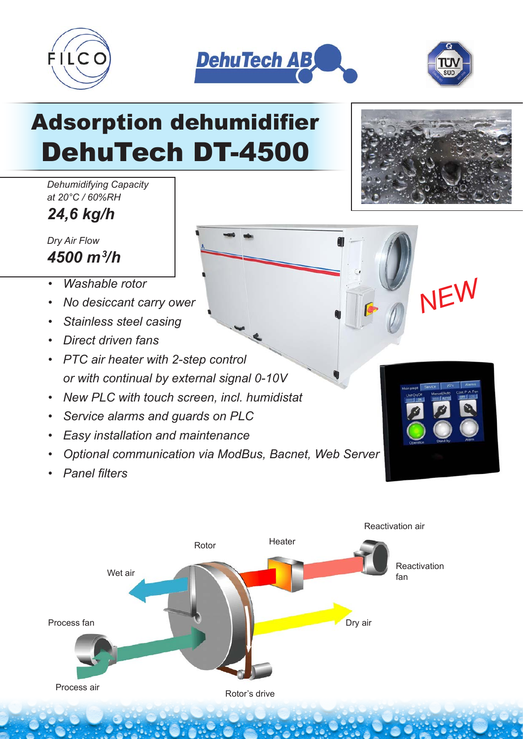





## Adsorption dehumidifier DehuTech DT-4500

*Dehumidifying Capacity at 20°C / 60%RH*

*24,6 kg/h*

*Dry Air Flow 4500 m3 /h*

- *Washable rotor*
- *No desiccant carry ower*
- *Stainless steel casing*
- *Direct driven fans*
- *PTC air heater with 2-step control or with continual by external signal 0-10V*
- *New PLC with touch screen, incl. humidistat*
- *Service alarms and guards on PLC*
- *Easy installation and maintenance*
- *Optional communication via ModBus, Bacnet, Web Server*
- *Panel filters*